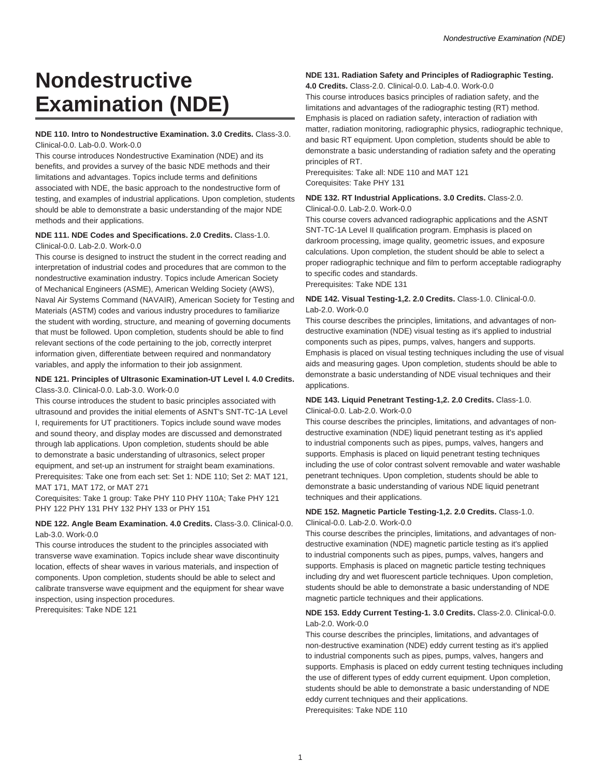# **Nondestructive Examination (NDE)**

# **NDE 110. Intro to Nondestructive Examination. 3.0 Credits.** Class-3.0. Clinical-0.0. Lab-0.0. Work-0.0

This course introduces Nondestructive Examination (NDE) and its benefits, and provides a survey of the basic NDE methods and their limitations and advantages. Topics include terms and definitions associated with NDE, the basic approach to the nondestructive form of testing, and examples of industrial applications. Upon completion, students should be able to demonstrate a basic understanding of the major NDE methods and their applications.

## **NDE 111. NDE Codes and Specifications. 2.0 Credits.** Class-1.0. Clinical-0.0. Lab-2.0. Work-0.0

This course is designed to instruct the student in the correct reading and interpretation of industrial codes and procedures that are common to the nondestructive examination industry. Topics include American Society of Mechanical Engineers (ASME), American Welding Society (AWS), Naval Air Systems Command (NAVAIR), American Society for Testing and Materials (ASTM) codes and various industry procedures to familiarize the student with wording, structure, and meaning of governing documents that must be followed. Upon completion, students should be able to find relevant sections of the code pertaining to the job, correctly interpret information given, differentiate between required and nonmandatory variables, and apply the information to their job assignment.

#### **NDE 121. Principles of Ultrasonic Examination-UT Level I. 4.0 Credits.** Class-3.0. Clinical-0.0. Lab-3.0. Work-0.0

This course introduces the student to basic principles associated with ultrasound and provides the initial elements of ASNT's SNT-TC-1A Level I, requirements for UT practitioners. Topics include sound wave modes and sound theory, and display modes are discussed and demonstrated through lab applications. Upon completion, students should be able to demonstrate a basic understanding of ultrasonics, select proper equipment, and set-up an instrument for straight beam examinations. Prerequisites: Take one from each set: Set 1: NDE 110; Set 2: MAT 121, MAT 171, MAT 172, or MAT 271

Corequisites: Take 1 group: Take PHY 110 PHY 110A; Take PHY 121 PHY 122 PHY 131 PHY 132 PHY 133 or PHY 151

# **NDE 122. Angle Beam Examination. 4.0 Credits.** Class-3.0. Clinical-0.0. Lab-3.0. Work-0.0

This course introduces the student to the principles associated with transverse wave examination. Topics include shear wave discontinuity location, effects of shear waves in various materials, and inspection of components. Upon completion, students should be able to select and calibrate transverse wave equipment and the equipment for shear wave inspection, using inspection procedures.

Prerequisites: Take NDE 121

# **NDE 131. Radiation Safety and Principles of Radiographic Testing.**

**4.0 Credits.** Class-2.0. Clinical-0.0. Lab-4.0. Work-0.0

This course introduces basics principles of radiation safety, and the limitations and advantages of the radiographic testing (RT) method. Emphasis is placed on radiation safety, interaction of radiation with matter, radiation monitoring, radiographic physics, radiographic technique, and basic RT equipment. Upon completion, students should be able to demonstrate a basic understanding of radiation safety and the operating principles of RT.

Prerequisites: Take all: NDE 110 and MAT 121 Corequisites: Take PHY 131

#### **NDE 132. RT Industrial Applications. 3.0 Credits.** Class-2.0. Clinical-0.0. Lab-2.0. Work-0.0

This course covers advanced radiographic applications and the ASNT SNT-TC-1A Level II qualification program. Emphasis is placed on darkroom processing, image quality, geometric issues, and exposure calculations. Upon completion, the student should be able to select a

proper radiographic technique and film to perform acceptable radiography to specific codes and standards.

Prerequisites: Take NDE 131

# **NDE 142. Visual Testing-1,2. 2.0 Credits.** Class-1.0. Clinical-0.0. Lab-2.0. Work-0.0

This course describes the principles, limitations, and advantages of nondestructive examination (NDE) visual testing as it's applied to industrial components such as pipes, pumps, valves, hangers and supports. Emphasis is placed on visual testing techniques including the use of visual aids and measuring gages. Upon completion, students should be able to demonstrate a basic understanding of NDE visual techniques and their applications.

# **NDE 143. Liquid Penetrant Testing-1,2. 2.0 Credits.** Class-1.0. Clinical-0.0. Lab-2.0. Work-0.0

This course describes the principles, limitations, and advantages of nondestructive examination (NDE) liquid penetrant testing as it's applied to industrial components such as pipes, pumps, valves, hangers and supports. Emphasis is placed on liquid penetrant testing techniques including the use of color contrast solvent removable and water washable penetrant techniques. Upon completion, students should be able to demonstrate a basic understanding of various NDE liquid penetrant techniques and their applications.

# **NDE 152. Magnetic Particle Testing-1,2. 2.0 Credits.** Class-1.0. Clinical-0.0. Lab-2.0. Work-0.0

This course describes the principles, limitations, and advantages of nondestructive examination (NDE) magnetic particle testing as it's applied to industrial components such as pipes, pumps, valves, hangers and supports. Emphasis is placed on magnetic particle testing techniques including dry and wet fluorescent particle techniques. Upon completion, students should be able to demonstrate a basic understanding of NDE magnetic particle techniques and their applications.

# **NDE 153. Eddy Current Testing-1. 3.0 Credits.** Class-2.0. Clinical-0.0. Lab-2.0. Work-0.0

This course describes the principles, limitations, and advantages of non-destructive examination (NDE) eddy current testing as it's applied to industrial components such as pipes, pumps, valves, hangers and supports. Emphasis is placed on eddy current testing techniques including the use of different types of eddy current equipment. Upon completion, students should be able to demonstrate a basic understanding of NDE eddy current techniques and their applications. Prerequisites: Take NDE 110